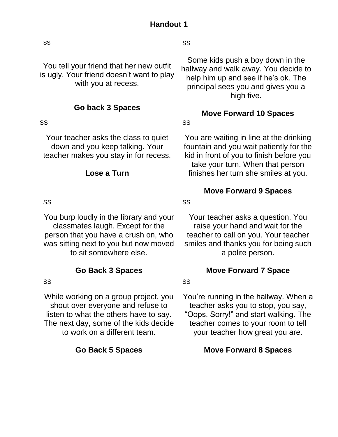SS

You tell your friend that her new outfit is ugly. Your friend doesn't want to play with you at recess.

## **Go back 3 Spaces**

### SS

Your teacher asks the class to quiet down and you keep talking. Your teacher makes you stay in for recess.

### **Lose a Turn**

### SS

You burp loudly in the library and your classmates laugh. Except for the person that you have a crush on, who was sitting next to you but now moved to sit somewhere else.

# **Go Back 3 Spaces**

### SS

While working on a group project, you shout over everyone and refuse to listen to what the others have to say. The next day, some of the kids decide to work on a different team.

## **Go Back 5 Spaces**

SS

Some kids push a boy down in the hallway and walk away. You decide to help him up and see if he's ok. The principal sees you and gives you a high five.

# **Move Forward 10 Spaces**

SS

You are waiting in line at the drinking fountain and you wait patiently for the kid in front of you to finish before you take your turn. When that person finishes her turn she smiles at you.

## **Move Forward 9 Spaces**

SS

Your teacher asks a question. You raise your hand and wait for the teacher to call on you. Your teacher smiles and thanks you for being such a polite person.

# **Move Forward 7 Space**

SS

You're running in the hallway. When a teacher asks you to stop, you say, "Oops. Sorry!" and start walking. The teacher comes to your room to tell your teacher how great you are.

**Move Forward 8 Spaces**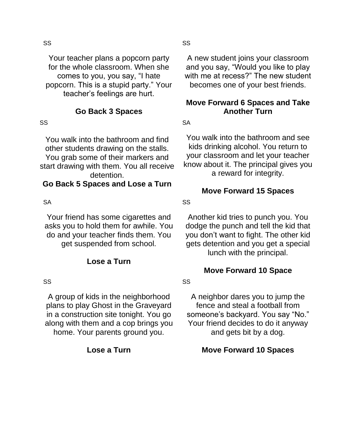Your teacher plans a popcorn party for the whole classroom. When she comes to you, you say, "I hate popcorn. This is a stupid party." Your teacher's feelings are hurt.

**Go Back 3 Spaces**

#### SS

You walk into the bathroom and find other students drawing on the stalls. You grab some of their markers and start drawing with them. You all receive detention.

# **Go Back 5 Spaces and Lose a Turn**

### **SA**

Your friend has some cigarettes and asks you to hold them for awhile. You do and your teacher finds them. You get suspended from school.

## **Lose a Turn**

### SS

A group of kids in the neighborhood plans to play Ghost in the Graveyard in a construction site tonight. You go along with them and a cop brings you home. Your parents ground you.

## **Lose a Turn**

A new student joins your classroom and you say, "Would you like to play with me at recess?" The new student becomes one of your best friends.

## **Move Forward 6 Spaces and Take Another Turn**

SA

You walk into the bathroom and see kids drinking alcohol. You return to your classroom and let your teacher know about it. The principal gives you a reward for integrity.

## **Move Forward 15 Spaces**

SS

Another kid tries to punch you. You dodge the punch and tell the kid that you don't want to fight. The other kid gets detention and you get a special lunch with the principal.

# **Move Forward 10 Space**

SS

A neighbor dares you to jump the fence and steal a football from someone's backyard. You say "No." Your friend decides to do it anyway and gets bit by a dog.

**Move Forward 10 Spaces**